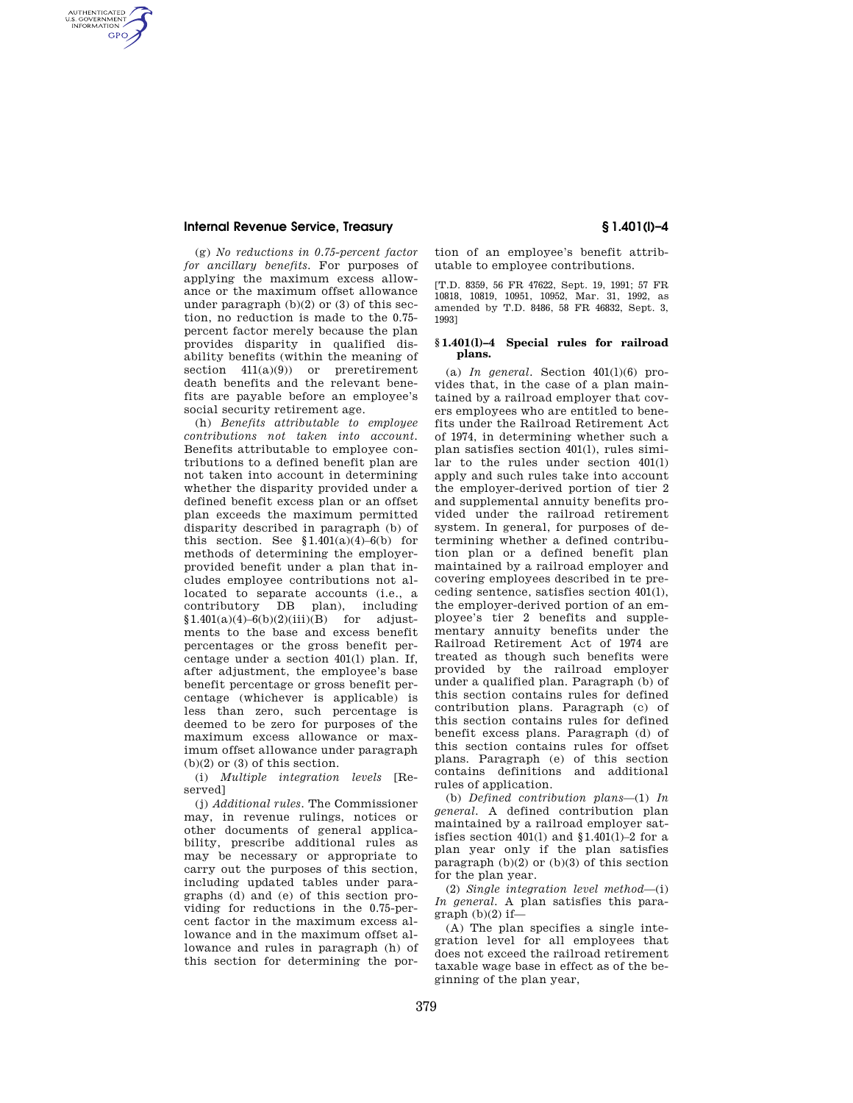### **Internal Revenue Service, Treasury § 1.401(l)–4**

AUTHENTICATED<br>U.S. GOVERNMENT<br>INFORMATION **GPO** 

> (g) *No reductions in 0.75-percent factor for ancillary benefits.* For purposes of applying the maximum excess allowance or the maximum offset allowance under paragraph  $(b)(2)$  or  $(3)$  of this section, no reduction is made to the 0.75 percent factor merely because the plan provides disparity in qualified disability benefits (within the meaning of section  $411(a)(9)$  or preretirement death benefits and the relevant benefits are payable before an employee's social security retirement age.

> (h) *Benefits attributable to employee contributions not taken into account.*  Benefits attributable to employee contributions to a defined benefit plan are not taken into account in determining whether the disparity provided under a defined benefit excess plan or an offset plan exceeds the maximum permitted disparity described in paragraph (b) of this section. See  $$1.401(a)(4)-6(b)$  for methods of determining the employerprovided benefit under a plan that includes employee contributions not allocated to separate accounts (i.e., a contributory DB plan), including  $$1.401(a)(4)-6(b)(2)(iii)(B)$  for adjustments to the base and excess benefit percentages or the gross benefit percentage under a section 401(l) plan. If, after adjustment, the employee's base benefit percentage or gross benefit percentage (whichever is applicable) is less than zero, such percentage is deemed to be zero for purposes of the maximum excess allowance or maximum offset allowance under paragraph  $(b)(2)$  or  $(3)$  of this section.

> (i) *Multiple integration levels* [Reserved]

> (j) *Additional rules.* The Commissioner may, in revenue rulings, notices or other documents of general applicability, prescribe additional rules as may be necessary or appropriate to carry out the purposes of this section, including updated tables under paragraphs (d) and (e) of this section providing for reductions in the 0.75-percent factor in the maximum excess allowance and in the maximum offset allowance and rules in paragraph (h) of this section for determining the por-

tion of an employee's benefit attributable to employee contributions.

[T.D. 8359, 56 FR 47622, Sept. 19, 1991; 57 FR 10818, 10819, 10951, 10952, Mar. 31, 1992, as amended by T.D. 8486, 58 FR 46832, Sept. 3, 1993]

#### **§ 1.401(l)–4 Special rules for railroad plans.**

(a)  $In$  general. Section  $401(1)(6)$  provides that, in the case of a plan maintained by a railroad employer that covers employees who are entitled to benefits under the Railroad Retirement Act of 1974, in determining whether such a plan satisfies section 401(l), rules similar to the rules under section 401(l) apply and such rules take into account the employer-derived portion of tier 2 and supplemental annuity benefits provided under the railroad retirement system. In general, for purposes of determining whether a defined contribution plan or a defined benefit plan maintained by a railroad employer and covering employees described in te preceding sentence, satisfies section 401(l), the employer-derived portion of an employee's tier 2 benefits and supplementary annuity benefits under the Railroad Retirement Act of 1974 are treated as though such benefits were provided by the railroad employer under a qualified plan. Paragraph (b) of this section contains rules for defined contribution plans. Paragraph (c) of this section contains rules for defined benefit excess plans. Paragraph (d) of this section contains rules for offset plans. Paragraph (e) of this section contains definitions and additional rules of application.

(b) *Defined contribution plans*—(1) *In general.* A defined contribution plan maintained by a railroad employer satisfies section  $401(1)$  and  $$1.401(1)-2$  for a plan year only if the plan satisfies paragraph  $(b)(2)$  or  $(b)(3)$  of this section for the plan year.

(2) *Single integration level method*—(i) *In general.* A plan satisfies this para $graph (b)(2)$  if-

(A) The plan specifies a single integration level for all employees that does not exceed the railroad retirement taxable wage base in effect as of the beginning of the plan year,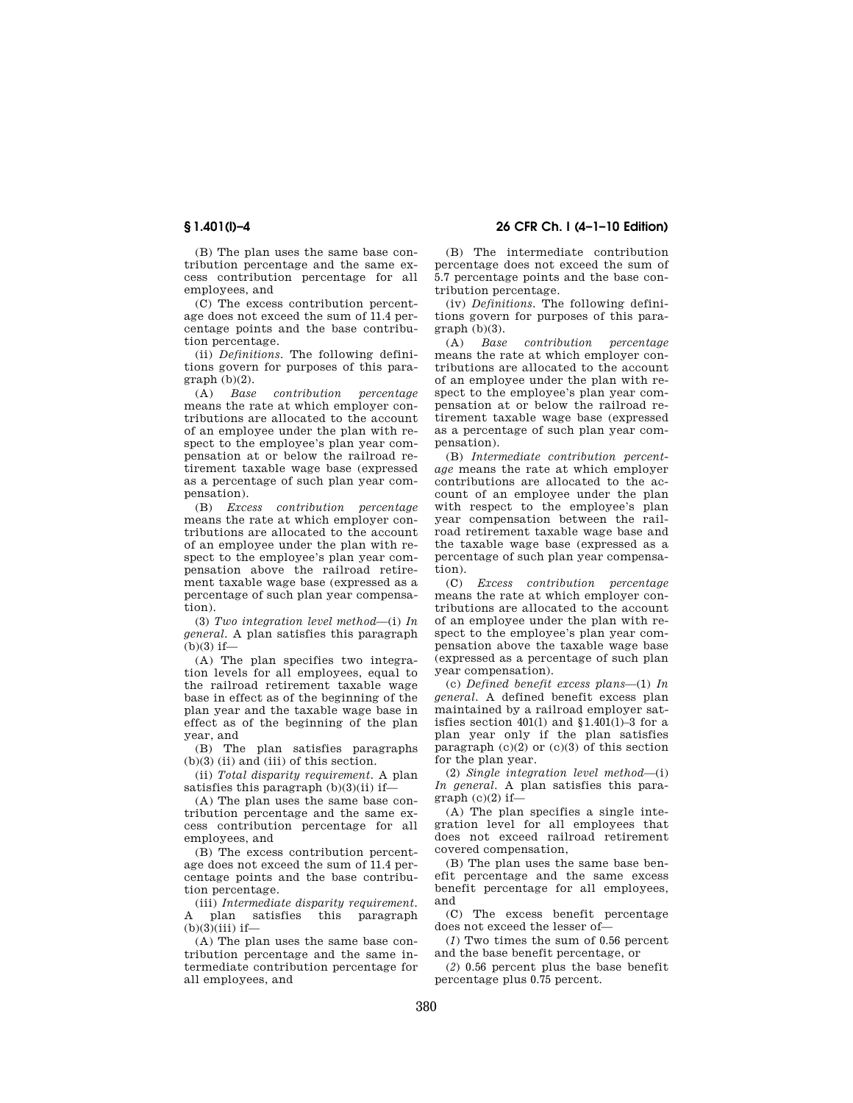(B) The plan uses the same base contribution percentage and the same excess contribution percentage for all employees, and

(C) The excess contribution percentage does not exceed the sum of 11.4 percentage points and the base contribution percentage.

(ii) *Definitions.* The following definitions govern for purposes of this para $graph(h)(2)$ .

(A) *Base contribution percentage*  means the rate at which employer contributions are allocated to the account of an employee under the plan with respect to the employee's plan year compensation at or below the railroad retirement taxable wage base (expressed as a percentage of such plan year compensation).

(B) *Excess contribution percentage*  means the rate at which employer contributions are allocated to the account of an employee under the plan with respect to the employee's plan year compensation above the railroad retirement taxable wage base (expressed as a percentage of such plan year compensation).

(3) *Two integration level method*—(i) *In general.* A plan satisfies this paragraph  $(b)(3)$  if-

(A) The plan specifies two integration levels for all employees, equal to the railroad retirement taxable wage base in effect as of the beginning of the plan year and the taxable wage base in effect as of the beginning of the plan year, and

(B) The plan satisfies paragraphs  $(b)(3)$  (ii) and (iii) of this section.

(ii) *Total disparity requirement.* A plan satisfies this paragraph (b)(3)(ii) if—

(A) The plan uses the same base contribution percentage and the same excess contribution percentage for all employees, and

(B) The excess contribution percentage does not exceed the sum of 11.4 percentage points and the base contribution percentage.

(iii) *Intermediate disparity requirement.*  A plan satisfies this paragraph  $(b)(3)(iii)$  if—

(A) The plan uses the same base contribution percentage and the same intermediate contribution percentage for all employees, and

**§ 1.401(l)–4 26 CFR Ch. I (4–1–10 Edition)** 

(B) The intermediate contribution percentage does not exceed the sum of 5.7 percentage points and the base contribution percentage.

(iv) *Definitions.* The following definitions govern for purposes of this para $graph (b)(3)$ .

(A) *Base contribution percentage*  means the rate at which employer contributions are allocated to the account of an employee under the plan with respect to the employee's plan year compensation at or below the railroad retirement taxable wage base (expressed as a percentage of such plan year compensation).

(B) *Intermediate contribution percentage* means the rate at which employer contributions are allocated to the account of an employee under the plan with respect to the employee's plan year compensation between the railroad retirement taxable wage base and the taxable wage base (expressed as a percentage of such plan year compensation).

(C) *Excess contribution percentage*  means the rate at which employer contributions are allocated to the account of an employee under the plan with respect to the employee's plan year compensation above the taxable wage base (expressed as a percentage of such plan year compensation).

(c) *Defined benefit excess plans*—(1) *In general.* A defined benefit excess plan maintained by a railroad employer satisfies section  $401(1)$  and  $$1.401(1)-3$  for a plan year only if the plan satisfies paragraph  $(c)(2)$  or  $(c)(3)$  of this section for the plan year.

(2) *Single integration level method*—(i) *In general.* A plan satisfies this para $graph (c)(2) if—$ 

(A) The plan specifies a single integration level for all employees that does not exceed railroad retirement covered compensation,

(B) The plan uses the same base benefit percentage and the same excess benefit percentage for all employees, and

(C) The excess benefit percentage does not exceed the lesser of—

(*1*) Two times the sum of 0.56 percent and the base benefit percentage, or

(*2*) 0.56 percent plus the base benefit percentage plus 0.75 percent.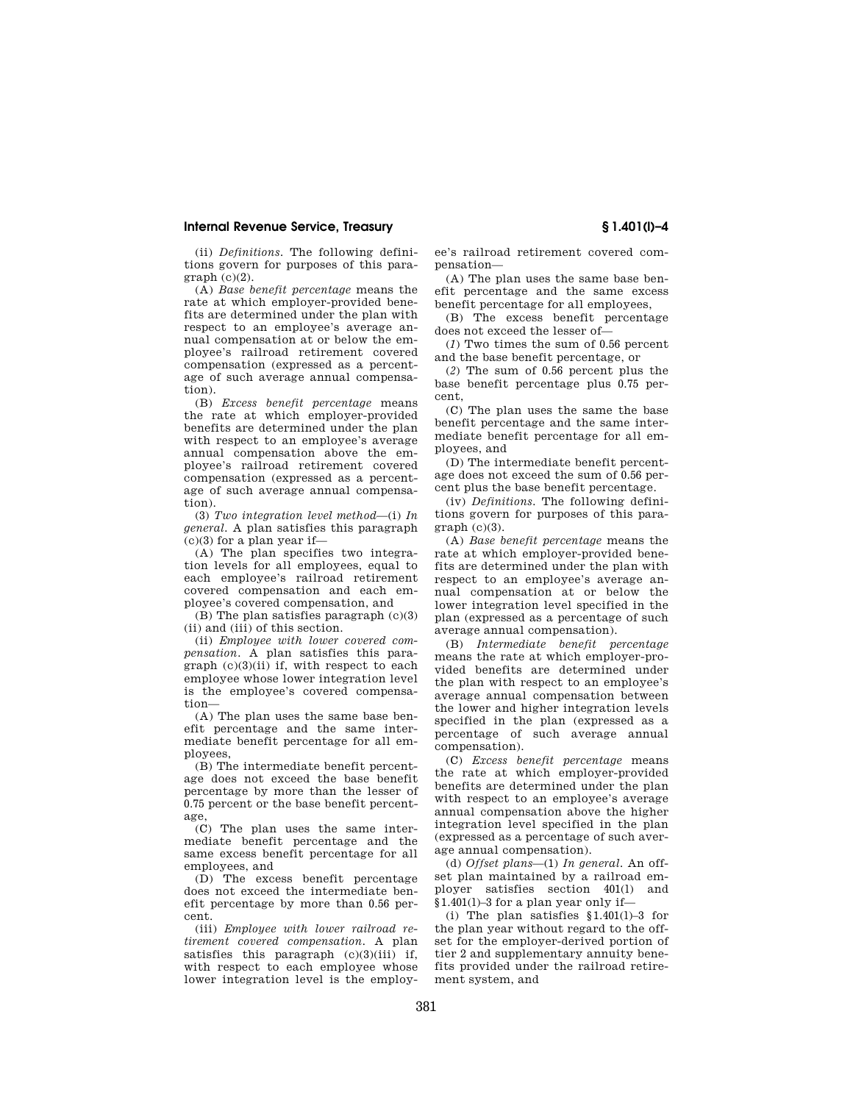### **Internal Revenue Service, Treasury § 1.401(l)–4**

(ii) *Definitions.* The following definitions govern for purposes of this para $graph (c)(2)$ .

(A) *Base benefit percentage* means the rate at which employer-provided benefits are determined under the plan with respect to an employee's average annual compensation at or below the employee's railroad retirement covered compensation (expressed as a percentage of such average annual compensation).

(B) *Excess benefit percentage* means the rate at which employer-provided benefits are determined under the plan with respect to an employee's average annual compensation above the employee's railroad retirement covered compensation (expressed as a percentage of such average annual compensation).

(3) *Two integration level method*—(i) *In general.* A plan satisfies this paragraph  $(c)(3)$  for a plan year if-

(A) The plan specifies two integration levels for all employees, equal to each employee's railroad retirement covered compensation and each employee's covered compensation, and

(B) The plan satisfies paragraph (c)(3) (ii) and (iii) of this section.

(ii) *Employee with lower covered compensation.* A plan satisfies this paragraph  $(c)(3)(ii)$  if, with respect to each employee whose lower integration level is the employee's covered compensation—

(A) The plan uses the same base benefit percentage and the same intermediate benefit percentage for all employees,

(B) The intermediate benefit percentage does not exceed the base benefit percentage by more than the lesser of 0.75 percent or the base benefit percentage,

(C) The plan uses the same intermediate benefit percentage and the same excess benefit percentage for all employees, and

(D) The excess benefit percentage does not exceed the intermediate benefit percentage by more than 0.56 percent.

(iii) *Employee with lower railroad retirement covered compensation.* A plan satisfies this paragraph  $(c)(3)(iii)$  if, with respect to each employee whose lower integration level is the employee's railroad retirement covered compensation—

(A) The plan uses the same base benefit percentage and the same excess benefit percentage for all employees,

(B) The excess benefit percentage does not exceed the lesser of—

(*1*) Two times the sum of 0.56 percent and the base benefit percentage, or

(*2*) The sum of 0.56 percent plus the base benefit percentage plus 0.75 percent,

(C) The plan uses the same the base benefit percentage and the same intermediate benefit percentage for all employees, and

(D) The intermediate benefit percentage does not exceed the sum of 0.56 percent plus the base benefit percentage.

(iv) *Definitions.* The following definitions govern for purposes of this para $graph (c)(3)$ .

(A) *Base benefit percentage* means the rate at which employer-provided benefits are determined under the plan with respect to an employee's average annual compensation at or below the lower integration level specified in the plan (expressed as a percentage of such average annual compensation).

(B) *Intermediate benefit percentage*  means the rate at which employer-provided benefits are determined under the plan with respect to an employee's average annual compensation between the lower and higher integration levels specified in the plan (expressed as a percentage of such average annual compensation).

(C) *Excess benefit percentage* means the rate at which employer-provided benefits are determined under the plan with respect to an employee's average annual compensation above the higher integration level specified in the plan (expressed as a percentage of such average annual compensation).

(d) *Offset plans*—(1) *In general.* An offset plan maintained by a railroad employer satisfies section 401(l) and §1.401(l)–3 for a plan year only if—

(i) The plan satisfies §1.401(l)–3 for the plan year without regard to the offset for the employer-derived portion of tier 2 and supplementary annuity benefits provided under the railroad retirement system, and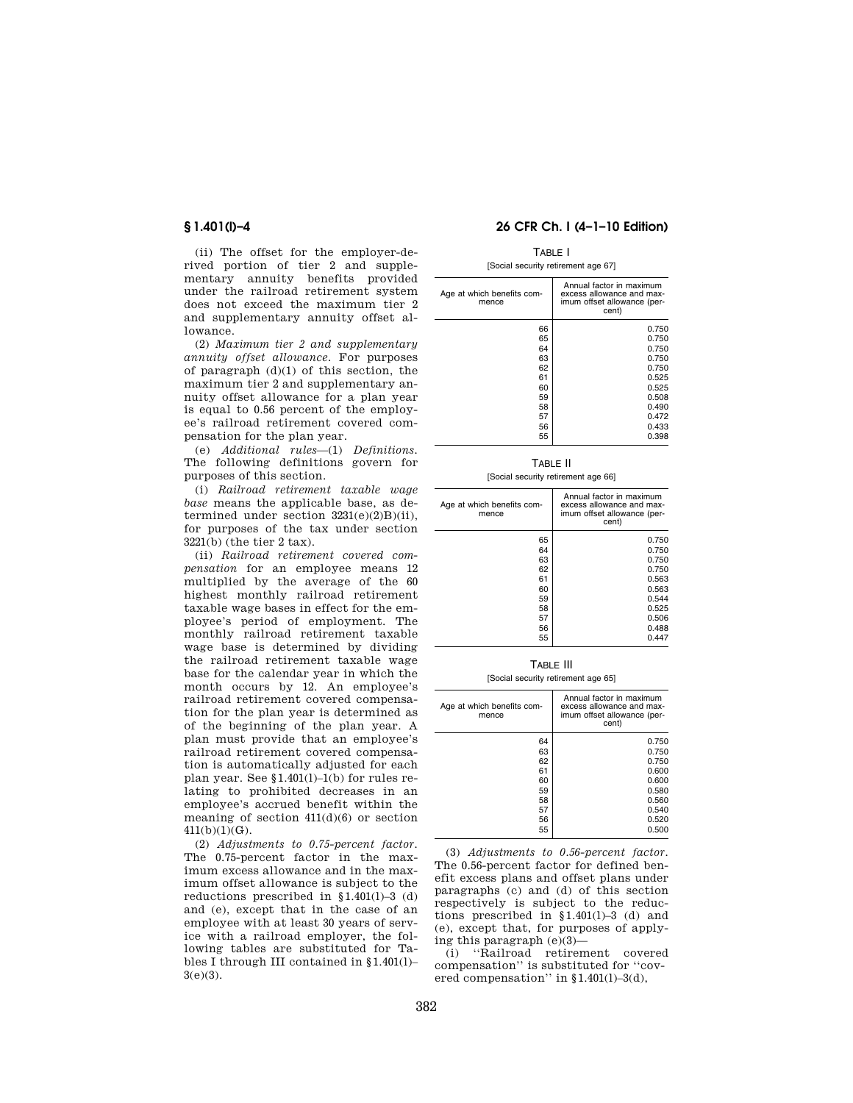(ii) The offset for the employer-derived portion of tier 2 and supplementary annuity benefits provided under the railroad retirement system does not exceed the maximum tier 2 and supplementary annuity offset allowance.

(2) *Maximum tier 2 and supplementary annuity offset allowance.* For purposes of paragraph (d)(1) of this section, the maximum tier 2 and supplementary annuity offset allowance for a plan year is equal to 0.56 percent of the employee's railroad retirement covered compensation for the plan year.

(e) *Additional rules*—(1) *Definitions.*  The following definitions govern for purposes of this section.

(i) *Railroad retirement taxable wage base* means the applicable base, as determined under section  $3231(e)(2)B)(ii)$ , for purposes of the tax under section 3221(b) (the tier 2 tax).

(ii) *Railroad retirement covered compensation* for an employee means 12 multiplied by the average of the 60 highest monthly railroad retirement taxable wage bases in effect for the employee's period of employment. The monthly railroad retirement taxable wage base is determined by dividing the railroad retirement taxable wage base for the calendar year in which the month occurs by 12. An employee's railroad retirement covered compensation for the plan year is determined as of the beginning of the plan year. A plan must provide that an employee's railroad retirement covered compensation is automatically adjusted for each plan year. See §1.401(l)–1(b) for rules relating to prohibited decreases in an employee's accrued benefit within the meaning of section  $411(d)(6)$  or section  $411(b)(1)(G)$ .

(2) *Adjustments to 0.75-percent factor.*  The 0.75-percent factor in the maximum excess allowance and in the maximum offset allowance is subject to the reductions prescribed in §1.401(l)–3 (d) and (e), except that in the case of an employee with at least 30 years of service with a railroad employer, the following tables are substituted for Tables I through III contained in §1.401(l)– 3(e)(3).

## **§ 1.401(l)–4 26 CFR Ch. I (4–1–10 Edition)**

# TABLE I

## [Social security retirement age 67]

| Age at which benefits com-<br>mence | Annual factor in maximum<br>excess allowance and max-<br>imum offset allowance (per-<br>cent) |
|-------------------------------------|-----------------------------------------------------------------------------------------------|
| 66<br>65                            | 0.750<br>0.750                                                                                |
| 64                                  | 0.750                                                                                         |
| 63                                  | 0.750                                                                                         |
| 62                                  | 0.750                                                                                         |
| 61                                  | 0.525                                                                                         |
| 60                                  | 0.525                                                                                         |
| 59                                  | 0.508                                                                                         |
| 58                                  | 0.490                                                                                         |
| 57                                  | 0.472                                                                                         |
| 56                                  | 0.433                                                                                         |
| 55                                  | 0.398                                                                                         |

TABLE II

[Social security retirement age 66]

| Age at which benefits com-<br>mence | Annual factor in maximum<br>excess allowance and max-<br>imum offset allowance (per-<br>cent) |
|-------------------------------------|-----------------------------------------------------------------------------------------------|
| 65                                  | 0.750                                                                                         |
| 64                                  | 0.750                                                                                         |
| 63                                  | 0.750                                                                                         |
| 62                                  | 0.750                                                                                         |
| 61                                  | 0.563                                                                                         |
| 60                                  | 0.563                                                                                         |
| 59                                  | 0.544                                                                                         |
| 58                                  | 0.525                                                                                         |
| 57                                  | 0.506                                                                                         |
| 56                                  | 0.488                                                                                         |
| 55                                  | 0.447                                                                                         |

TABLE III

[Social security retirement age 65]

| Age at which benefits com-<br>mence | Annual factor in maximum<br>excess allowance and max-<br>imum offset allowance (per-<br>cent) |
|-------------------------------------|-----------------------------------------------------------------------------------------------|
| 64                                  | 0.750                                                                                         |
| 63                                  | 0.750                                                                                         |
| 62                                  | 0.750                                                                                         |
| 61                                  | 0.600                                                                                         |
| 60                                  | 0.600                                                                                         |
| 59                                  | 0.580                                                                                         |
| 58                                  | 0.560                                                                                         |
| 57                                  | 0.540                                                                                         |
| 56                                  | 0.520                                                                                         |
| 55                                  | 0.500                                                                                         |

(3) *Adjustments to 0.56-percent factor.*  The 0.56-percent factor for defined benefit excess plans and offset plans under paragraphs (c) and (d) of this section respectively is subject to the reductions prescribed in §1.401(l)–3 (d) and (e), except that, for purposes of applying this paragraph  $(e)(3)$ -

(i) ''Railroad retirement covered compensation'' is substituted for ''covered compensation'' in §1.401(l)–3(d),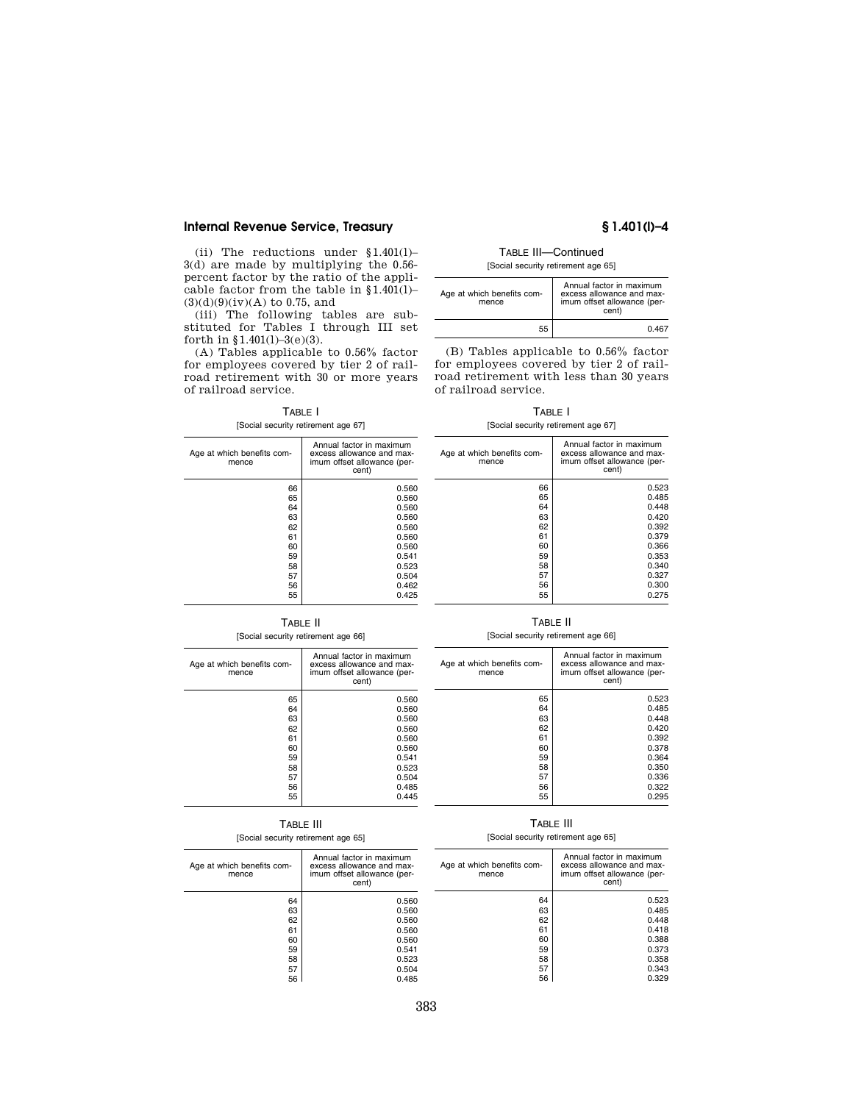# **Internal Revenue Service, Treasury § 1.401(l)–4**

(ii) The reductions under §1.401(l)– 3(d) are made by multiplying the 0.56 percent factor by the ratio of the applicable factor from the table in §1.401(l)–  $(3)(d)(9)(iv)(A)$  to 0.75, and

(iii) The following tables are substituted for Tables I through III set forth in §1.401(1)-3(e)(3).

(A) Tables applicable to 0.56% factor for employees covered by tier 2 of railroad retirement with 30 or more years of railroad service.

# TABLE I

#### [Social security retirement age 67]

Age at which benefits commence

| TABLE III-Continued                 |
|-------------------------------------|
| [Social security retirement age 65] |

| Age at which benefits com-<br>mence | Annual factor in maximum<br>excess allowance and max-<br>imum offset allowance (per-<br>cent) |  |
|-------------------------------------|-----------------------------------------------------------------------------------------------|--|
| 55                                  | 0467                                                                                          |  |

(B) Tables applicable to 0.56% factor for employees covered by tier 2 of railroad retirement with less than 30 years of railroad service.

TABLE I [Social security retirement age 67]

|    | Annual factor in maximum<br>excess allowance and max-<br>imum offset allowance (per-<br>cent) | Age at which benefits com-<br>mence | Annual factor in maximum<br>excess allowance and max-<br>imum offset allowance (per-<br>cent) |
|----|-----------------------------------------------------------------------------------------------|-------------------------------------|-----------------------------------------------------------------------------------------------|
| 66 | 0.560                                                                                         | 66                                  | 0.523                                                                                         |
| 65 | 0.560                                                                                         | 65                                  | 0.485                                                                                         |
| 64 | 0.560                                                                                         | 64                                  | 0.448                                                                                         |
| 63 | 0.560                                                                                         | 63                                  | 0.420                                                                                         |
| 62 | 0.560                                                                                         | 62                                  | 0.392                                                                                         |
| 61 | 0.560                                                                                         | 61                                  | 0.379                                                                                         |
| 60 | 0.560                                                                                         | 60                                  | 0.366                                                                                         |
| 59 | 0.541                                                                                         | 59                                  | 0.353                                                                                         |
| 58 | 0.523                                                                                         | 58                                  | 0.340                                                                                         |
| 57 | 0.504                                                                                         | 57                                  | 0.327                                                                                         |
| 56 | 0.462                                                                                         | 56                                  | 0.300                                                                                         |
| 55 | 0.425                                                                                         | 55                                  | 0.275                                                                                         |

### TABLE II

### [Social security retirement age 66]

| Age at which benefits com-<br>mence | Annual factor in maximum<br>excess allowance and max-<br>imum offset allowance (per-<br>cent) |
|-------------------------------------|-----------------------------------------------------------------------------------------------|
| 65                                  | 0.560                                                                                         |
| 64                                  | 0.560                                                                                         |
| 63                                  | 0.560                                                                                         |
| 62                                  | 0.560                                                                                         |
| 61                                  | 0.560                                                                                         |
| 60                                  | 0.560                                                                                         |
| 59                                  | 0.541                                                                                         |
| 58                                  | 0.523                                                                                         |
| 57                                  | 0.504                                                                                         |
| 56                                  | 0.485                                                                                         |
| 55                                  | 0.445                                                                                         |
|                                     |                                                                                               |

### TABLE II [Social security retirement age 66]

| Age at which benefits com-<br>mence | Annual factor in maximum<br>excess allowance and max-<br>imum offset allowance (per-<br>cent) |
|-------------------------------------|-----------------------------------------------------------------------------------------------|
| 65                                  | 0.523                                                                                         |
| 64                                  | 0.485                                                                                         |
| 63                                  | 0.448                                                                                         |
| 62                                  | 0.420                                                                                         |
| 61                                  | 0.392                                                                                         |
| 60                                  | 0.378                                                                                         |
| 59                                  | 0.364                                                                                         |
| 58                                  | 0.350                                                                                         |
| 57                                  | 0.336                                                                                         |
| 56                                  | 0.322                                                                                         |
| 55                                  | 0.295                                                                                         |
|                                     |                                                                                               |

# TABLE III

## [Social security retirement age 65]

# TABLE III

### [Social security retirement age 65]

| Age at which benefits com-<br>mence | Annual factor in maximum<br>excess allowance and max-<br>imum offset allowance (per-<br>cent) | Age at which benefits com-<br>mence | Annual factor in maximum<br>excess allowance and max-<br>imum offset allowance (per-<br>cent) |
|-------------------------------------|-----------------------------------------------------------------------------------------------|-------------------------------------|-----------------------------------------------------------------------------------------------|
| 64                                  | 0.560                                                                                         | 64                                  | 0.523                                                                                         |
| 63                                  | 0.560                                                                                         | 63                                  | 0.485                                                                                         |
| 62                                  | 0.560                                                                                         | 62                                  | 0.448                                                                                         |
| 61                                  | 0.560                                                                                         | 61                                  | 0.418                                                                                         |
| 60                                  | 0.560                                                                                         | 60                                  | 0.388                                                                                         |
| 59                                  | 0.541                                                                                         | 59                                  | 0.373                                                                                         |
| 58                                  | 0.523                                                                                         | 58                                  | 0.358                                                                                         |
| 57                                  | 0.504                                                                                         | 57                                  | 0.343                                                                                         |
| 56                                  | 0.485                                                                                         | 56                                  | 0.329                                                                                         |

# 383